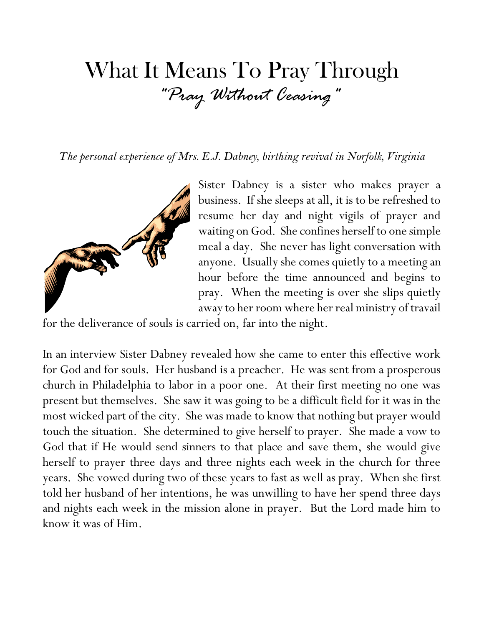## What It Means To Pray Through *"Pray Without Ceasing"*

*The personal experience of Mrs. E.J. Dabney, birthing revival in Norfolk, Virginia*



Sister Dabney is a sister who makes prayer a business. If she sleeps at all, it is to be refreshed to resume her day and night vigils of prayer and waiting on God. She confines herself to one simple meal a day. She never has light conversation with anyone. Usually she comes quietly to a meeting an hour before the time announced and begins to pray. When the meeting is over she slips quietly away to her room where her real ministry of travail

for the deliverance of souls is carried on, far into the night.

In an interview Sister Dabney revealed how she came to enter this effective work for God and for souls. Her husband is a preacher. He was sent from a prosperous church in Philadelphia to labor in a poor one. At their first meeting no one was present but themselves. She saw it was going to be a difficult field for it was in the most wicked part of the city. She was made to know that nothing but prayer would touch the situation. She determined to give herself to prayer. She made a vow to God that if He would send sinners to that place and save them, she would give herself to prayer three days and three nights each week in the church for three years. She vowed during two of these years to fast as well as pray. When she first told her husband of her intentions, he was unwilling to have her spend three days and nights each week in the mission alone in prayer. But the Lord made him to know it was of Him.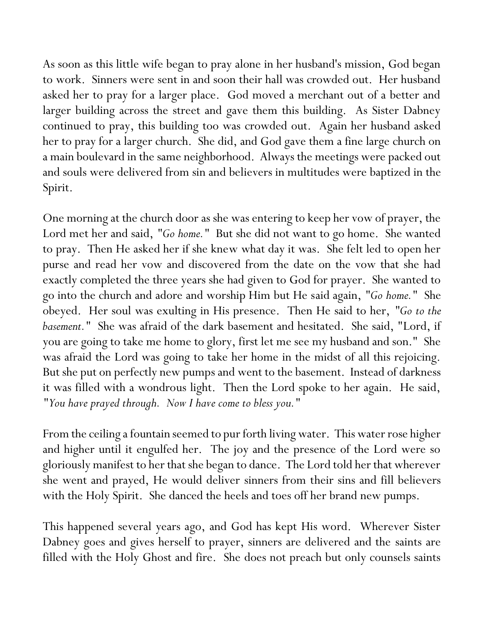As soon as this little wife began to pray alone in her husband's mission, God began to work. Sinners were sent in and soon their hall was crowded out. Her husband asked her to pray for a larger place. God moved a merchant out of a better and larger building across the street and gave them this building. As Sister Dabney continued to pray, this building too was crowded out. Again her husband asked her to pray for a larger church. She did, and God gave them a fine large church on a main boulevard in the same neighborhood. Always the meetings were packed out and souls were delivered from sin and believers in multitudes were baptized in the Spirit.

One morning at the church door as she was entering to keep her vow of prayer, the Lord met her and said, "Go home." But she did not want to go home. She wanted to pray. Then He asked her if she knew what day it was. She felt led to open her purse and read her vow and discovered from the date on the vow that she had exactly completed the three years she had given to God for prayer. She wanted to go into the church and adore and worship Him but He said again, *"Go home."* She obeyed. Her soul was exulting in His presence. Then He said to her, *"Go to the basement."* She was afraid of the dark basement and hesitated. She said, "Lord, if you are going to take me home to glory, first let me see my husband and son." She was afraid the Lord was going to take her home in the midst of all this rejoicing. But she put on perfectly new pumps and went to the basement. Instead of darkness it was filled with a wondrous light. Then the Lord spoke to her again. He said, *"You have prayed through. Now I have come to bless you."*

From the ceiling a fountain seemed to pur forth living water. This water rose higher and higher until it engulfed her. The joy and the presence of the Lord were so gloriously manifest to her that she began to dance. The Lord told her that wherever she went and prayed, He would deliver sinners from their sins and fill believers with the Holy Spirit. She danced the heels and toes off her brand new pumps.

This happened several years ago, and God has kept His word. Wherever Sister Dabney goes and gives herself to prayer, sinners are delivered and the saints are filled with the Holy Ghost and fire. She does not preach but only counsels saints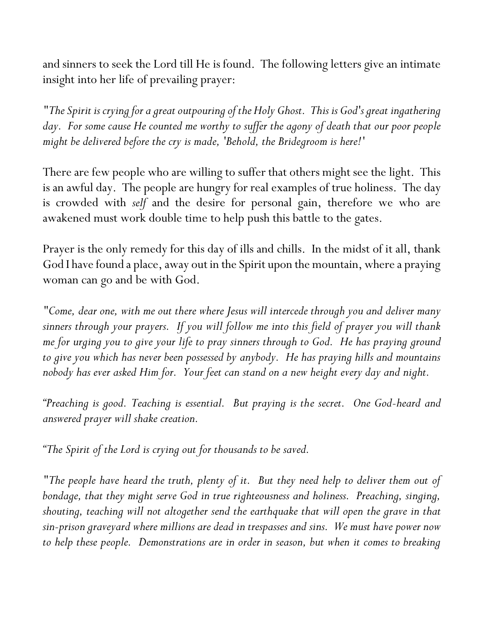and sinners to seek the Lord till He is found. The following letters give an intimate insight into her life of prevailing prayer:

*"The Spirit is crying for a great outpouring of the Holy Ghost. This is God's great ingathering*  day. For some cause He counted me worthy to suffer the agony of death that our poor people *might be delivered before the cry is made, 'Behold, the Bridegroom is here!'*

There are few people who are willing to suffer that others might see the light. This is an awful day. The people are hungry for real examples of true holiness. The day is crowded with *self* and the desire for personal gain, therefore we who are awakened must work double time to help push this battle to the gates.

Prayer is the only remedy for this day of ills and chills. In the midst of it all, thank God I have found a place, away out in the Spirit upon the mountain, where a praying woman can go and be with God.

*"Come, dear one, with me out there where Jesus will intercede through you and deliver many sinners through your prayers. If you will follow me into this field of prayer you will thank me for urging you to give your life to pray sinners through to God. He has praying ground to give you which has never been possessed by anybody. He has praying hills and mountains nobody has ever asked Him for. Your feet can stand on a new height every day and night.*

*"Preaching is good. Teaching is essential. But praying is the secret. One God-heard and answered prayer will shake creation.*

*"The Spirit of the Lord is crying out for thousands to be saved.*

*"The people have heard the truth, plenty of it. But they need help to deliver them out of bondage, that they might serve God in true righteousness and holiness. Preaching, singing, shouting, teaching will not altogether send the earthquake that will open the grave in that sin-prison graveyard where millions are dead in trespasses and sins. We must have power now to help these people. Demonstrations are in order in season, but when it comes to breaking*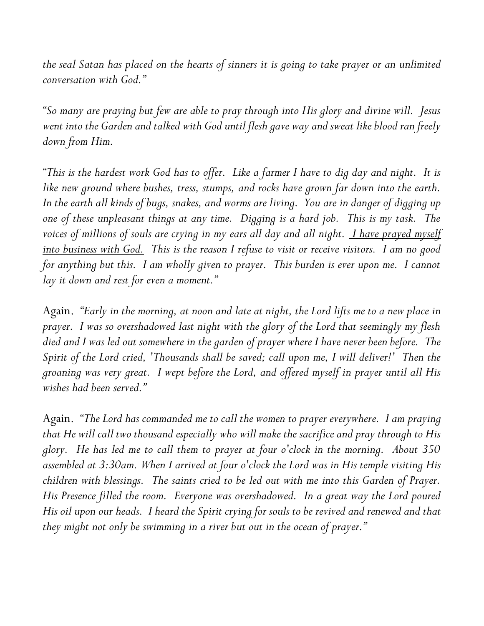*the seal Satan has placed on the hearts of sinners it is going to take prayer or an unlimited conversation with God."*

*"So many are praying but few are able to pray through into His glory and divine will. Jesus went into the Garden and talked with God until flesh gave way and sweat like blood ran freely down from Him.*

*"This is the hardest work God has to offer. Like a farmer I have to dig day and night. It is like new ground where bushes, tress, stumps, and rocks have grown far down into the earth. In the earth all kinds of bugs, snakes, and worms are living. You are in danger of digging up one of these unpleasant things at any time. Digging is a hard job. This is my task. The*  voices of millions of souls are crying in my ears all day and all night. *I have prayed myself into business with God. This is the reason I refuse to visit or receive visitors. I am no good*  for anything but this. I am wholly given to prayer. This burden is ever upon me. I cannot *lay it down and rest for even a moment."*

Again. *"Early in the morning, at noon and late at night, the Lord lifts me to a new place in prayer. I was so overshadowed last night with the glory of the Lord that seemingly my flesh died and I was led out somewhere in the garden of prayer where I have never been before. The Spirit of the Lord cried, 'Thousands shall be saved; call upon me, I will deliver!' Then the groaning was very great. I wept before the Lord, and offered myself in prayer until all His wishes had been served."*

Again. *"The Lord has commanded me to call the women to prayer everywhere. I am praying that He will call two thousand especially who will make the sacrifice and pray through to His glory. He has led me to call them to prayer at four o'clock in the morning. About 350 assembled at 3:30am. When I arrived at four o'clock the Lord was in His temple visiting His children with blessings. The saints cried to be led out with me into this Garden of Prayer. His Presence filled the room. Everyone was overshadowed. In a great way the Lord poured His oil upon our heads. I heard the Spirit crying for souls to be revived and renewed and that they might not only be swimming in a river but out in the ocean of prayer."*